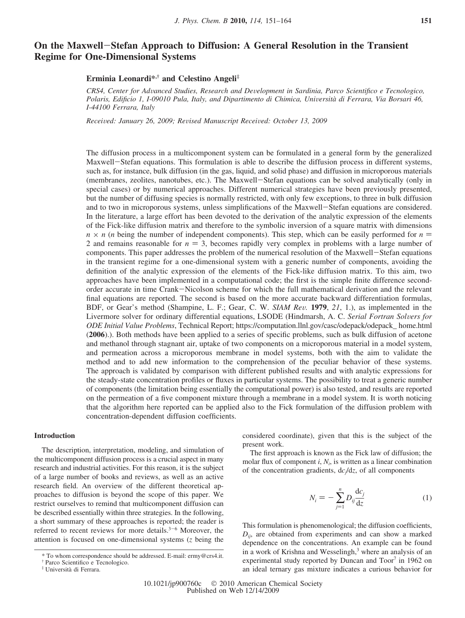# **On the Maxwell**-**Stefan Approach to Diffusion: A General Resolution in the Transient Regime for One-Dimensional Systems**

## **Erminia Leonardi\*,† and Celestino Angeli‡**

*CRS4, Center for Ad*V*anced Studies, Research and De*V*elopment in Sardinia, Parco Scientifico e Tecnologico,* Polaris, Edificio 1, I-09010 Pula, Italy, and Dipartimento di Chimica, Università di Ferrara, Via Borsari 46, *I-44100 Ferrara, Italy*

*Received: January 26, 2009; Revised Manuscript Received: October 13, 2009* 

The diffusion process in a multicomponent system can be formulated in a general form by the generalized Maxwell-Stefan equations. This formulation is able to describe the diffusion process in different systems, such as, for instance, bulk diffusion (in the gas, liquid, and solid phase) and diffusion in microporous materials (membranes, zeolites, nanotubes, etc.). The Maxwell-Stefan equations can be solved analytically (only in special cases) or by numerical approaches. Different numerical strategies have been previously presented, but the number of diffusing species is normally restricted, with only few exceptions, to three in bulk diffusion and to two in microporous systems, unless simplifications of the Maxwell-Stefan equations are considered. In the literature, a large effort has been devoted to the derivation of the analytic expression of the elements of the Fick-like diffusion matrix and therefore to the symbolic inversion of a square matrix with dimensions  $n \times n$  (*n* being the number of independent components). This step, which can be easily performed for  $n =$ 2 and remains reasonable for  $n = 3$ , becomes rapidly very complex in problems with a large number of components. This paper addresses the problem of the numerical resolution of the Maxwell-Stefan equations in the transient regime for a one-dimensional system with a generic number of components, avoiding the definition of the analytic expression of the elements of the Fick-like diffusion matrix. To this aim, two approaches have been implemented in a computational code; the first is the simple finite difference secondorder accurate in time Crank-Nicolson scheme for which the full mathematical derivation and the relevant final equations are reported. The second is based on the more accurate backward differentiation formulas, BDF, or Gear's method (Shampine, L. F.; Gear, C. W. *SIAM Rev.* 1979, 21, 1.), as implemented in the Livermore solver for ordinary differential equations, LSODE (Hindmarsh, A. C. *Serial Fortran Solvers for ODE Initial Value Problems*, Technical Report; https://computation.llnl.gov/casc/odepack/odepack\_ home.html (**2006**).). Both methods have been applied to a series of specific problems, such as bulk diffusion of acetone and methanol through stagnant air, uptake of two components on a microporous material in a model system, and permeation across a microporous membrane in model systems, both with the aim to validate the method and to add new information to the comprehension of the peculiar behavior of these systems. The approach is validated by comparison with different published results and with analytic expressions for the steady-state concentration profiles or fluxes in particular systems. The possibility to treat a generic number of components (the limitation being essentially the computational power) is also tested, and results are reported on the permeation of a five component mixture through a membrane in a model system. It is worth noticing that the algorithm here reported can be applied also to the Fick formulation of the diffusion problem with concentration-dependent diffusion coefficients.

### **Introduction**

The description, interpretation, modeling, and simulation of the multicomponent diffusion process is a crucial aspect in many research and industrial activities. For this reason, it is the subject of a large number of books and reviews, as well as an active research field. An overview of the different theoretical approaches to diffusion is beyond the scope of this paper. We restrict ourselves to remind that multicomponent diffusion can be described essentially within three strategies. In the following, a short summary of these approaches is reported; the reader is referred to recent reviews for more details. $3-6$  Moreover, the attention is focused on one-dimensional systems (*z* being the considered coordinate), given that this is the subject of the present work.

The first approach is known as the Fick law of diffusion; the molar flux of component  $i$ ,  $N_i$ , is written as a linear combination of the concentration gradients, d*cj*/d*z*, of all components

$$
N_i = -\sum_{j=1}^{n} D_{ij} \frac{\mathrm{d}c_j}{\mathrm{d}z} \tag{1}
$$

This formulation is phenomenological; the diffusion coefficients, *Dij*, are obtained from experiments and can show a marked dependence on the concentrations. An example can be found in a work of Krishna and Wesselingh, $3$  where an analysis of an experimental study reported by Duncan and Toor<sup>7</sup> in 1962 on an ideal ternary gas mixture indicates a curious behavior for

<sup>\*</sup> To whom correspondence should be addressed. E-mail: ermy@crs4.it.

<sup>†</sup> Parco Scientifico e Tecnologico.

<sup>‡</sup> Universita` di Ferrara.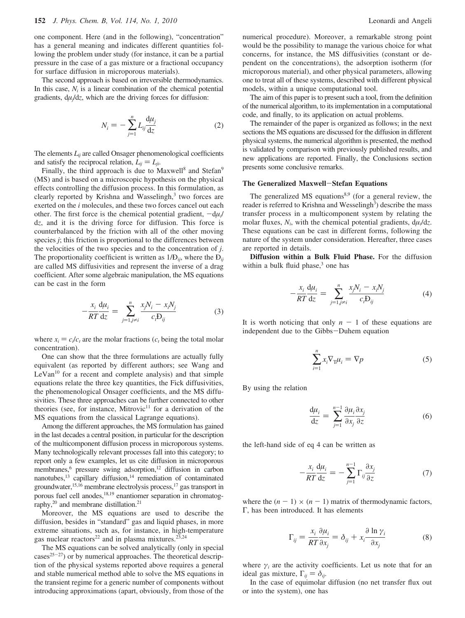one component. Here (and in the following), "concentration" has a general meaning and indicates different quantities following the problem under study (for instance, it can be a partial pressure in the case of a gas mixture or a fractional occupancy for surface diffusion in microporous materials).

The second approach is based on irreversible thermodynamics. In this case, *Ni* is a linear combination of the chemical potential gradients, d*µj*/d*z*, which are the driving forces for diffusion:

$$
N_i = -\sum_{j=1}^{n} L_{ij} \frac{\mathrm{d}\mu_j}{\mathrm{d}z} \tag{2}
$$

The elements  $L_{ij}$  are called Onsager phenomenological coefficients and satisfy the reciprocal relation,  $L_{ij} = L_{ji}$ .

Finally, the third approach is due to Maxwell<sup>8</sup> and Stefan<sup>9</sup> (MS) and is based on a microscopic hypothesis on the physical effects controlling the diffusion process. In this formulation, as clearly reported by Krishna and Wasselingh,<sup>3</sup> two forces are exerted on the *i* molecules, and these two forces cancel out each other. The first force is the chemical potential gradient,  $-d\mu$ <sup>*i*</sup> d*z*, and it is the driving force for diffusion. This force is counterbalanced by the friction with all of the other moving species *j*; this friction is proportional to the differences between the velocities of the two species and to the concentration of *j*. The proportionality coefficient is written as  $1/D_{ij}$ , where the  $D_{ij}$ are called MS diffusivities and represent the inverse of a drag coefficient. After some algebraic manipulation, the MS equations can be cast in the form

$$
-\frac{x_i}{RT}\frac{d\mu_i}{dz} = \sum_{j=1, j\neq i}^{n} \frac{x_j N_i - x_i N_j}{c_i D_{ij}}
$$
(3)

where  $x_i = c_i/c_i$  are the molar fractions ( $c_i$  being the total molar concentration).

One can show that the three formulations are actually fully equivalent (as reported by different authors; see Wang and  $LeVan<sup>10</sup>$  for a recent and complete analysis) and that simple equations relate the three key quantities, the Fick diffusivities, the phenomenological Onsager coefficients, and the MS diffusivities. These three approaches can be further connected to other theories (see, for instance, Mitrovic<sup>11</sup> for a derivation of the MS equations from the classical Lagrange equations).

Among the different approaches, the MS formulation has gained in the last decades a central position, in particular for the description of the multicomponent diffusion process in microporous systems. Many technologically relevant processes fall into this category; to report only a few examples, let us cite diffusion in microporous membranes,<sup>6</sup> pressure swing adsorption,<sup>12</sup> diffusion in carbon nanotubes, $^{13}$  capillary diffusion, $^{14}$  remediation of contaminated groundwater,<sup>15,16</sup> membrane electrolysis process,<sup>17</sup> gas transport in porous fuel cell anodes,18,19 enantiomer separation in chromatography, $20$  and membrane distillation. $21$ 

Moreover, the MS equations are used to describe the diffusion, besides in "standard" gas and liquid phases, in more extreme situations, such as, for instance, in high-temperature gas nuclear reactors<sup>22</sup> and in plasma mixtures.<sup>23,24</sup>

The MS equations can be solved analytically (only in special  $\text{cases}^{25-27}$  or by numerical approaches. The theoretical description of the physical systems reported above requires a general and stable numerical method able to solve the MS equations in the transient regime for a generic number of components without introducing approximations (apart, obviously, from those of the numerical procedure). Moreover, a remarkable strong point would be the possibility to manage the various choice for what concerns, for instance, the MS diffusivities (constant or dependent on the concentrations), the adsorption isotherm (for microporous material), and other physical parameters, allowing one to treat all of these systems, described with different physical models, within a unique computational tool.

The aim of this paper is to present such a tool, from the definition of the numerical algorithm, to its implementation in a computational code, and finally, to its application on actual problems.

The remainder of the paper is organized as follows; in the next sections the MS equations are discussed for the diffusion in different physical systems, the numerical algorithm is presented, the method is validated by comparison with previously published results, and new applications are reported. Finally, the Conclusions section presents some conclusive remarks.

#### **The Generalized Maxwell**-**Stefan Equations**

The generalized MS equations<sup>8,9</sup> (for a general review, the reader is referred to Krishna and Wesselingh<sup>3</sup>) describe the mass transfer process in a multicomponent system by relating the molar fluxes,  $N_i$ , with the chemical potential gradients,  $d\mu_i/dz$ . These equations can be cast in different forms, following the nature of the system under consideration. Hereafter, three cases are reported in details.

**Diffusion within a Bulk Fluid Phase.** For the diffusion within a bulk fluid phase, $3$  one has

$$
-\frac{x_i}{RT}\frac{d\mu_i}{dz} = \sum_{j=1, j\neq i}^{n} \frac{x_j N_i - x_i N_j}{c_i D_{ij}}
$$
(4)

It is worth noticing that only  $n - 1$  of these equations are independent due to the Gibbs-Duhem equation

$$
\sum_{i=1}^{n} x_i \nabla_{\mathbf{T}} \mu_i = \nabla p \tag{5}
$$

By using the relation

$$
\frac{d\mu_i}{dz} = \sum_{j=1}^{n-1} \frac{\partial \mu_i}{\partial x_j} \frac{\partial x_j}{\partial z}
$$
 (6)

the left-hand side of eq 4 can be written as

$$
-\frac{x_i}{RT}\frac{d\mu_i}{dz} = -\sum_{j=1}^{n-1} \Gamma_{ij}\frac{\partial x_j}{\partial z}
$$
(7)

where the  $(n - 1) \times (n - 1)$  matrix of thermodynamic factors, Γ, has been introduced. It has elements

$$
\Gamma_{ij} = \frac{x_i}{RT} \frac{\partial \mu_i}{\partial x_j} = \delta_{ij} + x_i \frac{\partial \ln \gamma_i}{\partial x_j}
$$
(8)

where  $\gamma_i$  are the activity coefficients. Let us note that for an ideal gas mixture,  $\Gamma_{ii} = \delta_{ii}$ .

In the case of equimolar diffusion (no net transfer flux out or into the system), one has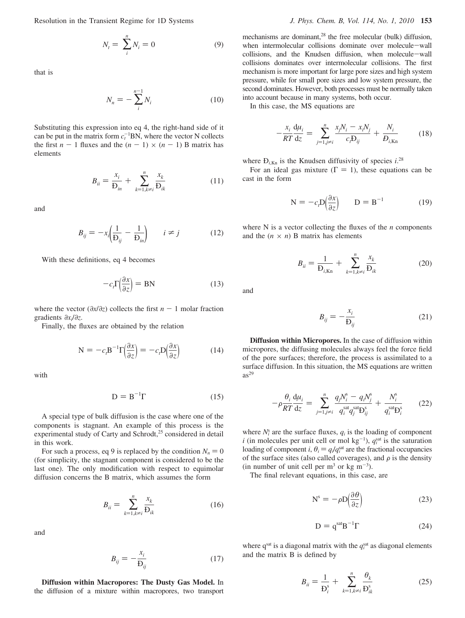Resolution in the Transient Regime for 1D Systems *J. Phys. Chem. B, Vol. 114, No. 1, 2010* **153**

$$
N_t = \sum_{i}^{n} N_i = 0 \tag{9}
$$

that is

$$
N_n = -\sum_{i}^{n-1} N_i \tag{10}
$$

Substituting this expression into eq 4, the right-hand side of it can be put in the matrix form  $c_t^{-1}BN$ , where the vector N collects the first  $n - 1$  fluxes and the  $(n - 1) \times (n - 1)$  B matrix has elements

$$
B_{ii} = \frac{x_i}{D_{in}} + \sum_{k=1, k \neq i}^{n} \frac{x_k}{D_{ik}}
$$
 (11)

and

$$
B_{ij} = -x_i \left(\frac{1}{D_{ij}} - \frac{1}{D_{in}}\right) \qquad i \neq j \tag{12}
$$

With these definitions, eq 4 becomes

$$
-c_r \Gamma \left(\frac{\partial x}{\partial z}\right) = BN \tag{13}
$$

where the vector ( $\partial x / \partial z$ ) collects the first *n* - 1 molar fraction gradients *∂xi*/*∂z*.

Finally, the fluxes are obtained by the relation

$$
N = -c_t B^{-1} \Gamma \left( \frac{\partial x}{\partial z} \right) = -c_t D \left( \frac{\partial x}{\partial z} \right) \tag{14}
$$

with

$$
D = B^{-1} \Gamma \tag{15}
$$

A special type of bulk diffusion is the case where one of the components is stagnant. An example of this process is the experimental study of Carty and Schrodt,<sup>25</sup> considered in detail in this work.

For such a process, eq 9 is replaced by the condition  $N_n = 0$ (for simplicity, the stagnant component is considered to be the last one). The only modification with respect to equimolar diffusion concerns the B matrix, which assumes the form

$$
B_{ii} = \sum_{k=1, k \neq i}^{n} \frac{x_k}{D_{ik}} \tag{16}
$$

and

$$
B_{ij} = -\frac{x_i}{D_{ij}}\tag{17}
$$

**Diffusion within Macropores: The Dusty Gas Model.** In the diffusion of a mixture within macropores, two transport mechanisms are dominant,<sup>28</sup> the free molecular (bulk) diffusion, when intermolecular collisions dominate over molecule-wall collisions, and the Knudsen diffusion, when molecule-wall collisions dominates over intermolecular collisions. The first mechanism is more important for large pore sizes and high system pressure, while for small pore sizes and low system pressure, the second dominates. However, both processes must be normally taken into account because in many systems, both occur.

In this case, the MS equations are

$$
-\frac{x_i}{RT}\frac{\mathrm{d}\mu_i}{\mathrm{d}z} = \sum_{j=1,j\neq i}^n \frac{x_j N_i - x_i N_j}{c_i \mathrm{D}_{ij}} + \frac{N_i}{D_{i,\mathrm{Kn}}}
$$
(18)

where  $D_{i,Kn}$  is the Knudsen diffusivity of species  $i^{28}$ 

For an ideal gas mixture ( $\Gamma = 1$ ), these equations can be cast in the form

$$
N = -c_p D\left(\frac{\partial x}{\partial z}\right) \qquad D = B^{-1} \tag{19}
$$

where N is a vector collecting the fluxes of the *n* components and the  $(n \times n)$  B matrix has elements

$$
B_{ii} = \frac{1}{D_{i,Kn}} + \sum_{k=1, k \neq i}^{n} \frac{x_k}{D_{ik}}
$$
 (20)

and

$$
B_{ij} = -\frac{x_i}{D_{ij}}\tag{21}
$$

**Diffusion within Micropores.** In the case of diffusion within micropores, the diffusing molecules always feel the force field of the pore surfaces; therefore, the process is assimilated to a surface diffusion. In this situation, the MS equations are written  $as^{29}$ 

$$
-\rho \frac{\theta_i}{RT} \frac{d\mu_i}{dz} = \sum_{j=1, j \neq i}^{n} \frac{q_j N_i^s - q_i N_j^s}{q_i^{sat} q_j^{sat} D_{ij}^s} + \frac{N_i^s}{q_i^{sat} D_i^s}
$$
(22)

where  $N_i^s$  are the surface fluxes,  $q_i$  is the loading of component *i* (in molecules per unit cell or mol  $kg^{-1}$ ),  $q_i^{sat}$  is the saturation loading of component *i*,  $\theta_i = q_i/q_i^{\text{sat}}$  are the fractional occupancies of the surface sites (also called coverages) and *o* is the density of the surface sites (also called coverages), and  $\rho$  is the density (in number of unit cell per  $m^3$  or kg  $m^{-3}$ ).

The final relevant equations, in this case, are

$$
N^{s} = -\rho D \left(\frac{\partial \theta}{\partial z}\right) \tag{23}
$$

$$
D = q^{\text{sat}} B^{-1} \Gamma \tag{24}
$$

where  $q^{\text{sat}}$  is a diagonal matrix with the  $q_i^{\text{sat}}$  as diagonal elements and the matrix B is defined by

$$
B_{ii} = \frac{1}{D_i^s} + \sum_{k=1, k \neq i}^{n} \frac{\theta_k}{D_{ik}^s}
$$
 (25)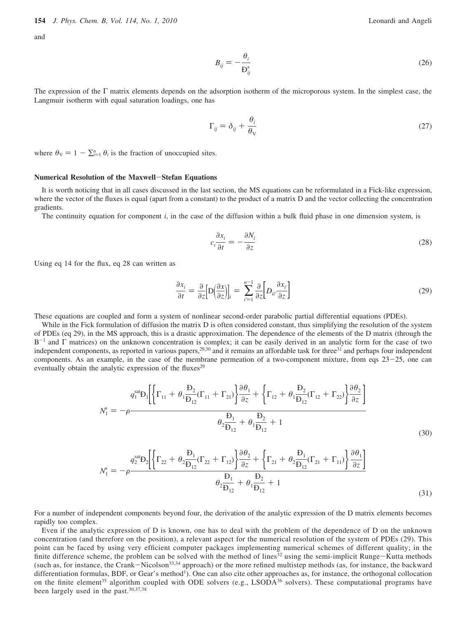and

$$
B_{ij} = -\frac{\theta_i}{D_{ij}^s} \tag{26}
$$

The expression of the Γ matrix elements depends on the adsorption isotherm of the microporous system. In the simplest case, the Langmuir isotherm with equal saturation loadings, one has

$$
\Gamma_{ij} = \delta_{ij} + \frac{\theta_i}{\theta_V} \tag{27}
$$

where  $\theta_{V} = 1 - \sum_{i=1}^{n} \theta_{i}$  is the fraction of unoccupied sites.

### **Numerical Resolution of the Maxwell**-**Stefan Equations**

It is worth noticing that in all cases discussed in the last section, the MS equations can be reformulated in a Fick-like expression, where the vector of the fluxes is equal (apart from a constant) to the product of a matrix D and the vector collecting the concentration gradients.

The continuity equation for component *i*, in the case of the diffusion within a bulk fluid phase in one dimension system, is

$$
c_i \frac{\partial x_i}{\partial t} = -\frac{\partial N_i}{\partial z} \tag{28}
$$

Using eq 14 for the flux, eq 28 can written as

$$
\frac{\partial x_i}{\partial t} = \frac{\partial}{\partial z} \Big[ D \Big( \frac{\partial x}{\partial z} \Big) \Big]_i = \sum_{i'=1}^{n-1} \frac{\partial}{\partial z} \Big[ D_{ii'} \frac{\partial x_{i'}}{\partial z} \Big] \tag{29}
$$

These equations are coupled and form a system of nonlinear second-order parabolic partial differential equations (PDEs).

While in the Fick formulation of diffusion the matrix D is often considered constant, thus simplifying the resolution of the system of PDEs (eq 29), in the MS approach, this is a drastic approximation. The dependence of the elements of the D matrix (through the B-<sup>1</sup> and Γ matrices) on the unknown concentration is complex; it can be easily derived in an analytic form for the case of two independent components, as reported in various papers,<sup>29,30</sup> and it remains an affordable task for three<sup>31</sup> and perhaps four independent components. As an example, in the case of the membrane permeation of a two-component mixture, from eqs 23-25, one can eventually obtain the analytic expression of the fluxes<sup>29</sup>

$$
N_1^s = -\rho \frac{q_1^{sat} D_1 \left[ \left\{ \Gamma_{11} + \theta_1 \frac{D_2}{D_{12}} (\Gamma_{11} + \Gamma_{21}) \right\} \frac{\partial \theta_1}{\partial z} + \left\{ \Gamma_{12} + \theta_1 \frac{D_2}{D_{12}} (\Gamma_{12} + \Gamma_{22}) \right\} \frac{\partial \theta_2}{\partial z} \right]}{\theta_2 \frac{D_1}{D_{12}} + \theta_1 \frac{D_2}{D_{12}} + 1}
$$
(30)

$$
N_1^s = -\rho \frac{q_2^{sat} \mathbf{D}_2 \left[ \left\{ \Gamma_{22} + \theta_2 \frac{\mathbf{D}_1}{\mathbf{D}_{12}} (\Gamma_{22} + \Gamma_{12}) \right\} \frac{\partial \theta_2}{\partial z} + \left\{ \Gamma_{21} + \theta_2 \frac{\mathbf{D}_1}{\mathbf{D}_{12}} (\Gamma_{21} + \Gamma_{11}) \right\} \frac{\partial \theta_1}{\partial z} \right]}{\theta_2 \frac{\mathbf{D}_1}{\mathbf{D}_{12}} + \theta_1 \frac{\mathbf{D}_2}{\mathbf{D}_{12}} + 1}
$$
(31)

For a number of independent components beyond four, the derivation of the analytic expression of the D matrix elements becomes rapidly too complex.

Even if the analytic expression of D is known, one has to deal with the problem of the dependence of D on the unknown concentration (and therefore on the position), a relevant aspect for the numerical resolution of the system of PDEs (29). This point can be faced by using very efficient computer packages implementing numerical schemes of different quality; in the finite difference scheme, the problem can be solved with the method of lines<sup>32</sup> using the semi-implicit Runge-Kutta methods (such as, for instance, the Crank-Nicolson<sup>33,34</sup> approach) or the more refined multistep methods (as, for instance, the backward differentiation formulas, BDF, or Gear's method<sup>1</sup>). One can also cite other approaches as, for instance, the orthogonal collocation on the finite element<sup>35</sup> algorithm coupled with ODE solvers (e.g., LSODA<sup>36</sup> solvers). These computational programs have been largely used in the past.<sup>30,37,38</sup>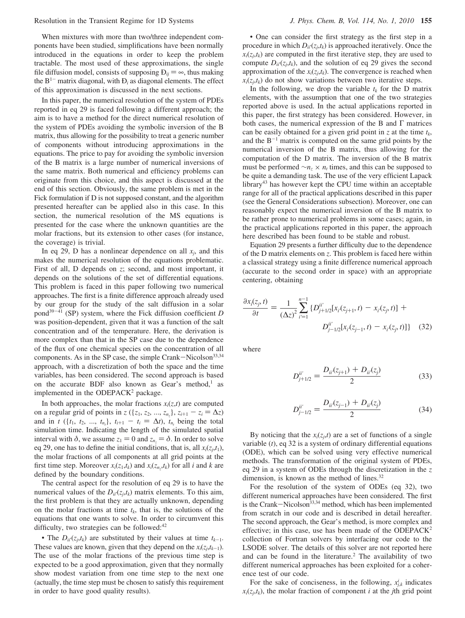When mixtures with more than two/three independent components have been studied, simplifications have been normally introduced in the equations in order to keep the problem tractable. The most used of these approximations, the single file diffusion model, consists of supposing  $D_{ii} = \infty$ , thus making the  $B<sup>1-</sup>$  matrix diagonal, with  $D<sub>i</sub>$  as diagonal elements. The effect of this approximation is discussed in the next sections.

In this paper, the numerical resolution of the system of PDEs reported in eq 29 is faced following a different approach; the aim is to have a method for the direct numerical resolution of the system of PDEs avoiding the symbolic inversion of the B matrix, thus allowing for the possibility to treat a generic number of components without introducing approximations in the equations. The price to pay for avoiding the symbolic inversion of the B matrix is a large number of numerical inversions of the same matrix. Both numerical and efficiency problems can originate from this choice, and this aspect is discussed at the end of this section. Obviously, the same problem is met in the Fick formulation if D is not supposed constant, and the algorithm presented hereafter can be applied also in this case. In this section, the numerical resolution of the MS equations is presented for the case where the unknown quantities are the molar fractions, but its extension to other cases (for instance, the coverage) is trivial.

In eq 29, D has a nonlinear dependence on all  $x_j$ , and this makes the numerical resolution of the equations problematic. First of all, D depends on *z*; second, and most important, it depends on the solutions of the set of differential equations. This problem is faced in this paper following two numerical approaches. The first is a finite difference approach already used by our group for the study of the salt diffusion in a solar pond39-<sup>41</sup> (SP) system, where the Fick diffusion coefficient *D* was position-dependent, given that it was a function of the salt concentration and of the temperature. Here, the derivation is more complex than that in the SP case due to the dependence of the flux of one chemical species on the concentration of all components. As in the SP case, the simple Crank-Nicolson<sup>33,34</sup> approach, with a discretization of both the space and the time variables, has been considered. The second approach is based on the accurate BDF also known as Gear's method,<sup>1</sup> as implemented in the ODEPACK<sup>2</sup> package.

In both approaches, the molar fractions  $x_i(z,t)$  are computed on a regular grid of points in  $z$  ({ $z_1$ ,  $z_2$ , ...,  $z_{n_z}$ },  $z_{i+1} - z_i = \Delta z$ )<br>and in *t* (*l*<sub>L</sub>, *t*<sub>2</sub>, *t*<sub>1</sub>),  $t_{i+1} - t_i = \Delta t$ ), *t*<sub>1</sub> being the total and in *t* ({*t*<sub>1</sub>, *t*<sub>2</sub>, ..., *t<sub>n</sub>*}, *t<sub>i+1</sub>* - *t<sub>i</sub>* =  $\Delta t$ ), *t<sub>n<sub>t</sub>*</sub> being the total simulation time. Indicating the length of the simulated spatial simulation time. Indicating the length of the simulated spatial interval with  $\delta$ , we assume  $z_1 = 0$  and  $z_{n_2} = \delta$ . In order to solve eq 29, one has to define the initial conditions, that is, all  $x_i(z_j,t_1)$ , the molar fractions of all components at all grid points at the first time step. Moreover  $x_i(z_1,t_k)$  and  $x_i(z_n,t_k)$  for all *i* and *k* are defined by the boundary conditions.

The central aspect for the resolution of eq 29 is to have the numerical values of the  $D_{ii'}(z_i,t_k)$  matrix elements. To this aim, the first problem is that they are actually unknown, depending on the molar fractions at time  $t_k$ , that is, the solutions of the equations that one wants to solve. In order to circumvent this difficulty, two strategies can be followed: $42$ 

• The  $D_{ii'}(z_j,t_k)$  are substituted by their values at time  $t_{k-1}$ . These values are known, given that they depend on the  $x_i(z_j,t_{k-1})$ . The use of the molar fractions of the previous time step is expected to be a good approximation, given that they normally show modest variation from one time step to the next one (actually, the time step must be chosen to satisfy this requirement in order to have good quality results).

• One can consider the first strategy as the first step in a procedure in which  $D_{ii'}(z_j,t_k)$  is approached iteratively. Once the  $x_i(z_j,t_k)$  are computed in the first iterative step, they are used to compute  $D_{ii}(z_j,t_k)$ , and the solution of eq 29 gives the second approximation of the  $x_i(z_j,t_k)$ . The convergence is reached when  $x_i(z_i,t_k)$  do not show variations between two iterative steps.

In the following, we drop the variable  $t_k$  for the D matrix elements, with the assumption that one of the two strategies reported above is used. In the actual applications reported in this paper, the first strategy has been considered. However, in both cases, the numerical expression of the B and  $\Gamma$  matrices can be easily obtained for a given grid point in  $z$  at the time  $t_k$ , and the  $B^{-1}$  matrix is computed on the same grid points by the numerical inversion of the B matrix, thus allowing for the computation of the D matrix. The inversion of the B matrix must be performed  $\sim n_z \times n_t$  times, and this can be supposed to be quite a demanding task. The use of the very efficient Lapack library43 has however kept the CPU time within an acceptable range for all of the practical applications described in this paper (see the General Considerations subsection). Moreover, one can reasonably expect the numerical inversion of the B matrix to be rather prone to numerical problems in some cases; again, in the practical applications reported in this paper, the approach here described has been found to be stable and robust.

Equation 29 presents a further difficulty due to the dependence of the D matrix elements on *z*. This problem is faced here within a classical strategy using a finite difference numerical approach (accurate to the second order in space) with an appropriate centering, obtaining

$$
\frac{\partial x_i(z_j, t)}{\partial t} = \frac{1}{(\Delta z)^2} \sum_{i=1}^{n-1} \{D_{j+1/2}^{ii'} [x_i(z_{j+1}, t) - x_i(z_j, t)] + D_{j-1/2}^{ii'} [x_i(z_{j-1}, t) - x_i(z_j, t)]\}
$$
(32)

where

$$
D_{j+1/2}^{ii'} = \frac{D_{ii'}(z_{j+1}) + D_{ii}(z_j)}{2} \tag{33}
$$

$$
D_{j-1/2}^{ii'} = \frac{D_{ii}(z_{j-1}) + D_{ii}(z_j)}{2} \tag{34}
$$

By noticing that the  $x_i(z_j,t)$  are a set of functions of a single variable (*t*), eq 32 is a system of ordinary differential equations (ODE), which can be solved using very effective numerical methods. The transformation of the original system of PDEs, eq 29 in a system of ODEs through the discretization in the *z* dimension, is known as the method of lines.<sup>32</sup>

For the resolution of the system of ODEs (eq 32), two different numerical approaches have been considered. The first is the Crank-Nicolson<sup>33,34</sup> method, which has been implemented from scratch in our code and is described in detail hereafter. The second approach, the Gear's method, is more complex and effective; in this case, use has been made of the ODEPACK2 collection of Fortran solvers by interfacing our code to the LSODE solver. The details of this solver are not reported here and can be found in the literature.<sup>2</sup> The availability of two different numerical approaches has been exploited for a coherence test of our code.

For the sake of conciseness, in the following,  $x_{j,k}^i$  indicates  $x_i(z_j,t_k)$ , the molar fraction of component *i* at the *j*th grid point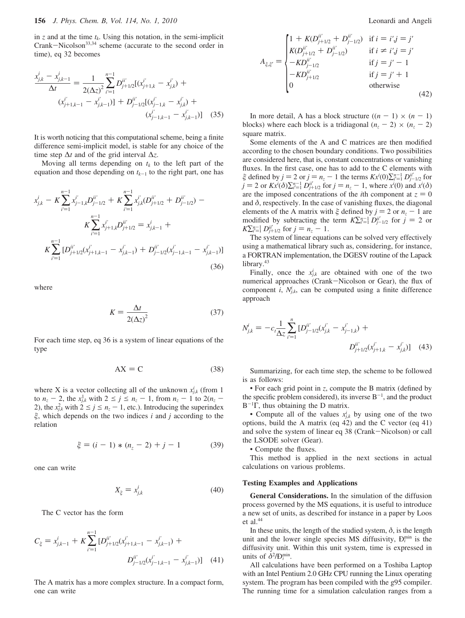in  $z$  and at the time  $t_k$ . Using this notation, in the semi-implicit Crank-Nicolson<sup>33,34</sup> scheme (accurate to the second order in time), eq 32 becomes

$$
\frac{x_{j,k}^i - x_{j,k-1}^i}{\Delta t} = \frac{1}{2(\Delta z)^2} \sum_{i'=1}^{n-1} D_{j+1/2}^{ii'} [(x_{j+1,k}^{i'} - x_{j,k}^{i'}) + (x_{j+1,k-1}^{i'} - x_{j,k-1}^{i'})] + D_{j-1/2}^{ii'} [(x_{j-1,k}^{i'} - x_{j,k}^{i'}) + (x_{j-1,k-1}^{i'} - x_{j,k-1}^{i'})] \quad (35)
$$

It is worth noticing that this computational scheme, being a finite difference semi-implicit model, is stable for any choice of the time step ∆*t* and of the grid interval ∆*z*.

Moving all terms depending on  $t_k$  to the left part of the equation and those depending on  $t_{k-1}$  to the right part, one has

$$
x_{j,k}^i - K \sum_{i'=1}^{n-1} x_{j-1,k}^{i'} D_{j-1/2}^{ii'} + K \sum_{i'=1}^{n-1} x_{j,k}^{i'} (D_{j+1/2}^{ii'} + D_{j-1/2}^{ii'}) - K \sum_{i'=1}^{n-1} x_{j+1,k}^{i'} D_{j+1/2}^{ii'} = x_{j,k-1}^i + K \sum_{i'=1}^{n-1} [D_{j+1/2}^{ii'} (x_{j+1,k-1}^{i'} - x_{j,k-1}^{i'}) + D_{j-1/2}^{ii'} (x_{j-1,k-1}^{i'} - x_{j,k-1}^{i'})]
$$
\n(36)

where

$$
K = \frac{\Delta t}{2(\Delta z)^2} \tag{37}
$$

For each time step, eq 36 is a system of linear equations of the type

$$
AX = C \tag{38}
$$

where X is a vector collecting all of the unknown  $x_{j,k}^i$  (from 1) to  $n_z - 2$ , the  $x_{j,k}^1$  with  $2 \le j \le n_z - 1$ , from  $n_z - 1$  to  $2(n_z - 2)$  the  $x_i^2$ , with  $2 \le i \le n - 1$  etc.) Introducing the superindex 2), the  $x_{j,k}^2$  with  $2 \le j \le n_z - 1$ , etc.). Introducing the superindex  $\xi$  which depends on the two indices *i* and *i* according to the  $\xi$ , which depends on the two indices *i* and *j* according to the relation

$$
\xi = (i - 1) * (n_z - 2) + j - 1 \tag{39}
$$

one can write

$$
X_{\xi} = x_{j,k}^i \tag{40}
$$

The C vector has the form

$$
C_{\xi} = x_{j,k-1}^{i} + K \sum_{i'=1}^{n-1} [D_{j+1/2}^{ii'}(x_{j+1,k-1}^{i'} - x_{j,k-1}^{i'}) + D_{j-1/2}^{ii'}(x_{j-1,k-1}^{i'} - x_{j,k-1}^{i'})] \quad (41)
$$

The A matrix has a more complex structure. In a compact form, one can write

$$
A_{\xi,\xi'} = \begin{cases} 1 + K(D_{j+1/2}^{ii'} + D_{j-1/2}^{ii'}) & \text{if } i = i'j = j' \\ K(D_{j+1/2}^{ii'} + D_{j-1/2}^{ii'}) & \text{if } i \neq i'j = j' \\ - K D_{j-1/2}^{ii'} & \text{if } j = j' - 1 \\ - K D_{j+1/2}^{ii'} & \text{if } j = j' + 1 \\ 0 & \text{otherwise} \end{cases}
$$
(42)

In more detail, A has a block structure  $((n - 1) \times (n - 1))$ blocks) where each block is a tridiagonal  $(n_z - 2) \times (n_z - 2)$ square matrix.

Some elements of the A and C matrices are then modified according to the chosen boundary conditions. Two possibilities are considered here, that is, constant concentrations or vanishing fluxes. In the first case, one has to add to the C elements with  $\xi$  defined by  $j = 2$  or  $j = n_z - 1$  the terms  $Kx^i(0)\sum_{i=1}^{n_z-1} D_{j-i/2}^{i'}$  for  $i = 2$  or  $Kx^i(\delta)\sum_{i=1}^{n_z-1} D_{j-i/2}^{i'}$  for  $i = n - 1$  where  $x^i(0)$  and  $x^i(\delta)$  $j = 2$  or  $Kx^{i}(\delta)\sum_{i=1}^{n-1} D_{j+1/2}^{ii'}$  for  $j = n_z - 1$ , where  $x^{i}(0)$  and  $x^{i}(\delta)$  are the imposed concentrations of the *i*th component at  $z = 0$ are the imposed concentrations of the *i*th component at  $z = 0$ and  $\delta$ , respectively. In the case of vanishing fluxes, the diagonal elements of the A matrix with  $\xi$  defined by  $j = 2$  or  $n<sub>z</sub> - 1$  are modified by subtracting the term  $K\sum_{i=1}^{n-1} D_{j-1/2}^{ii'}$  for  $j = 2$  or  $K\sum_{i'=1}^{n-1} D_{j+1/2}^{ii'}$  for  $j = n_z - 1$ .

The system of linear equations can be solved very effectively using a mathematical library such as, considering, for instance, a FORTRAN implementation, the DGESV routine of the Lapack library.<sup>43</sup>

Finally, once the  $x_{j,k}^i$  are obtained with one of the two numerical approaches (Crank-Nicolson or Gear), the flux of component *i*,  $N_{j,k}$  can be computed using a finite difference approach

$$
N_{j,k}^{i} = -c_{i} \frac{1}{\Delta z} \sum_{i'=1}^{n} [D_{j-1/2}^{ii'}(x_{j,k}^{i'} - x_{j-1,k}^{i'}) + D_{j+1/2}^{ii'}(x_{j+1,k}^{i'} - x_{j,k}^{i'})]
$$
(43)

Summarizing, for each time step, the scheme to be followed is as follows:

• For each grid point in *z*, compute the B matrix (defined by the specific problem considered), its inverse  $B^{-1}$ , and the product  $B^{-1}\Gamma$ , thus obtaining the D matrix.

• Compute all of the values  $x_{j,k}^i$  by using one of the two options, build the A matrix (eq 42) and the C vector (eq 41) and solve the system of linear eq 38 (Crank-Nicolson) or call the LSODE solver (Gear).

• Compute the fluxes.

This method is applied in the next sections in actual calculations on various problems.

#### **Testing Examples and Applications**

**General Considerations.** In the simulation of the diffusion process governed by the MS equations, it is useful to introduce a new set of units, as described for instance in a paper by Loos et al.<sup>44</sup>

In these units, the length of the studied system,  $\delta$ , is the length unit and the lower single species MS diffusivity,  $D_i^{min}$  is the diffusivity unit. Within this unit system, time is expressed in units of  $\delta^2 / D_i^{\min}$ .

All calculations have been performed on a Toshiba Laptop with an Intel Pentium 2.0 GHz CPU running the Linux operating system. The program has been compiled with the g95 compiler. The running time for a simulation calculation ranges from a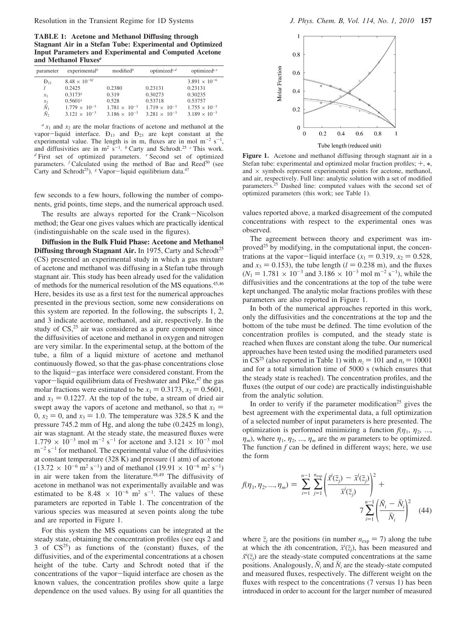**TABLE 1: Acetone and Methanol Diffusing through Stagnant Air in a Stefan Tube: Experimental and Optimized Input Parameters and Experimental and Computed Acetone and Methanol Fluxes***<sup>a</sup>*

| parameter                                       | experimental <sup><math>b</math></sup> | modified $^b$          | optimized <sup><math>c, d</math></sup> | optimized $c^e$        |
|-------------------------------------------------|----------------------------------------|------------------------|----------------------------------------|------------------------|
| $\rm{D}_{12}$                                   | $8.48 \times 10^{-6}$                  |                        |                                        | $3.891 \times 10^{-6}$ |
|                                                 | 0.2425                                 | 0.2380                 | 0.23131                                | 0.23131                |
| $x_1$                                           | 0.3173 <sup>g</sup>                    | 0.319                  | 0.30273                                | 0.30235                |
|                                                 | 0.5601 <sup>g</sup>                    | 0.528                  | 0.53718                                | 0.53757                |
| $\tilde{N}_1$<br>$\tilde{N}_1$<br>$\tilde{N}_2$ | $1.779 \times 10^{-3}$                 | $1.781 \times 10^{-3}$ | $1.719 \times 10^{-3}$                 | $1.755 \times 10^{-3}$ |
|                                                 | $3.121 \times 10^{-3}$                 | $3.186 \times 10^{-3}$ | $3.281 \times 10^{-3}$                 | $3.189 \times 10^{-3}$ |

 $a x_1$  and  $x_2$  are the molar fractions of acetone and methanol at the vapor-liquid interface.  $D_{13}$  and  $D_{23}$  are kept constant at the experimental value. The length is in m, fluxes are in mol  $m^{-2} s^{-1}$ , and diffusivities are in  $m^2 s^{-1}$ . <sup>*b*</sup> Carty and Schrodt.<sup>25</sup> *c* This work. *<sup>d</sup>* First set of optimized parameters. *<sup>e</sup>* Second set of optimized parameters.  $f$  Calculated using the method of Bae and Reed<sup>50</sup> (see Carty and Schrodt<sup>25</sup>). <sup>*g*</sup> Vapor-liquid equilibrium data.<sup>47</sup>

few seconds to a few hours, following the number of components, grid points, time steps, and the numerical approach used.

The results are always reported for the Crank-Nicolson method; the Gear one gives values which are practically identical (indistinguishable on the scale used in the figures).

**Diffusion in the Bulk Fluid Phase: Acetone and Methanol Diffusing through Stagnant Air.** In 1975, Carty and Schrodt<sup>25</sup> (CS) presented an experimental study in which a gas mixture of acetone and methanol was diffusing in a Stefan tube through stagnant air. This study has been already used for the validation of methods for the numerical resolution of the MS equations.45,46 Here, besides its use as a first test for the numerical approaches presented in the previous section, some new considerations on this system are reported. In the following, the subscripts 1, 2, and 3 indicate acetone, methanol, and air, respectively. In the study of CS,<sup>25</sup> air was considered as a pure component since the diffusivities of acetone and methanol in oxygen and nitrogen are very similar. In the experimental setup, at the bottom of the tube, a film of a liquid mixture of acetone and methanol continuously flowed, so that the gas-phase concentrations close to the liquid-gas interface were considered constant. From the vapor-liquid equilibrium data of Freshwater and Pike, $47$  the gas molar fractions were estimated to be  $x_1 = 0.3173$ ,  $x_2 = 0.5601$ , and  $x_3 = 0.1227$ . At the top of the tube, a stream of dried air swept away the vapors of acetone and methanol, so that  $x_1$  =  $0, x_2 = 0$ , and  $x_3 = 1.0$ . The temperature was 328.5 K and the pressure 745.2 mm of Hg, and along the tube (0.2425 m long), air was stagnant. At the steady state, the measured fluxes were  $1.779 \times 10^{-3}$  mol m<sup>-2</sup> s<sup>-1</sup> for acetone and 3.121  $\times 10^{-3}$  mol  $m^{-2}$  s<sup>-1</sup> for methanol. The experimental value of the diffusivities at constant temperature (328 K) and pressure (1 atm) of acetone  $(13.72 \times 10^{-6} \text{ m}^2 \text{ s}^{-1})$  and of methanol  $(19.91 \times 10^{-6} \text{ m}^2 \text{ s}^{-1})$ in air were taken from the literature.<sup>48,49</sup> The diffusivity of acetone in methanol was not experimentally available and was estimated to be  $8.48 \times 10^{-6}$  m<sup>2</sup> s<sup>-1</sup>. The values of these parameters are reported in Table 1. The concentration of the various species was measured at seven points along the tube and are reported in Figure 1.

For this system the MS equations can be integrated at the steady state, obtaining the concentration profiles (see eqs 2 and 3 of  $CS^{25}$  as functions of the (constant) fluxes, of the diffusivities, and of the experimental concentrations at a chosen height of the tube. Carty and Schrodt noted that if the concentrations of the vapor-liquid interface are chosen as the known values, the concentration profiles show quite a large dependence on the used values. By using for all quantities the



**Figure 1.** Acetone and methanol diffusing through stagnant air in a Stefan tube: experimental and optimized molar fraction profiles;  $+, *,$ and  $\times$  symbols represent experimental points for acetone, methanol, and air, respectively. Full line: analytic solution with a set of modified parameters.25 Dashed line: computed values with the second set of optimized parameters (this work; see Table 1).

values reported above, a marked disagreement of the computed concentrations with respect to the experimental ones was observed.

The agreement between theory and experiment was improved $25$  by modifying, in the computational input, the concentrations at the vapor-liquid interface  $(x_1 = 0.319, x_2 = 0.528,$ and  $x_3 = 0.153$ ), the tube length ( $l = 0.238$  m), and the fluxes  $(N_1 = 1.781 \times 10^{-3}$  and  $3.186 \times 10^{-3}$  mol m<sup>-2</sup> s<sup>-1</sup>), while the diffusivities and the concentrations at the top of the tube were diffusivities and the concentrations at the top of the tube were kept unchanged. The analytic molar fractions profiles with these parameters are also reported in Figure 1.

In both of the numerical approaches reported in this work, only the diffusivities and the concentrations at the top and the bottom of the tube must be defined. The time evolution of the concentration profiles is computed, and the steady state is reached when fluxes are constant along the tube. Our numerical approaches have been tested using the modified parameters used in CS<sup>25</sup> (also reported in Table 1) with  $n_z = 101$  and  $n_t = 10001$ and for a total simulation time of 5000 s (which ensures that the steady state is reached). The concentration profiles, and the fluxes (the output of our code) are practically indistinguishable from the analytic solution.

In order to verify if the parameter modification<sup>25</sup> gives the best agreement with the experimental data, a full optimization of a selected number of input parameters is here presented. The optimization is performed minimizing a function  $f(\eta_1, \eta_2, \ldots,$  $\eta_m$ , where  $\eta_1$ ,  $\eta_2$ , ...,  $\eta_m$  are the *m* parameters to be optimized. The function *f* can be defined in different ways; here, we use the form

$$
f(\eta_1, \eta_2, ..., \eta_m) = \sum_{i=1}^{n-1} \sum_{j=1}^{n_{exp}} \left( \frac{\vec{x}^i(\bar{z}_j) - \vec{x}^i(\bar{z}_j)}{\vec{x}^i(\bar{z}_j)} \right)^2 + 7 \sum_{i=1}^{n-1} \left( \frac{\tilde{N}_i - \bar{N}_i}{\bar{N}_i} \right)^2 \quad (44)
$$

where  $\bar{z}_j$  are the positions (in number  $n_{exp} = 7$ ) along the tube at which the *i*th concentration,  $\vec{x}^i(\bar{z}_i)$ , has been measured and  $\vec{x}^i(\bar{z})$  are the steady-state computed concentrations at the same  $\tilde{x}^i(\bar{z}_j)$  are the steady-state computed concentrations at the same<br>positions. Analogously,  $\tilde{N}_i$  and  $\overline{N}_j$  are the steady-state computed positions. Analogously,  $\tilde{N}_i$  and  $\overline{N}_i$  are the steady-state computed and measured fluxes, respectively. The different weight on the fluxes with respect to the concentrations (7 versus 1) has been introduced in order to account for the larger number of measured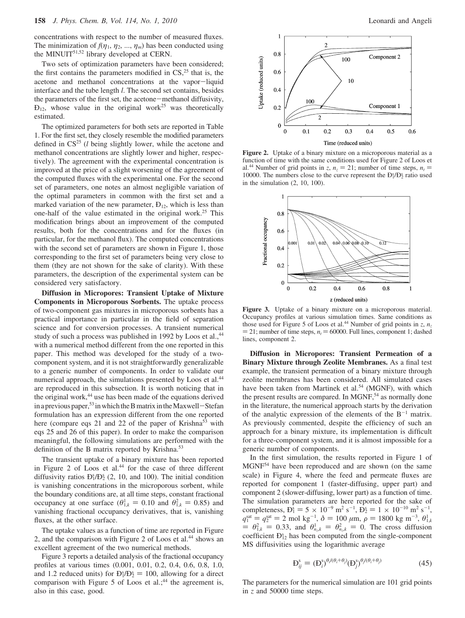concentrations with respect to the number of measured fluxes. The minimization of  $f(\eta_1, \eta_2, ..., \eta_m)$  has been conducted using the MINUIT<sup>51,52</sup> library developed at CERN.

Two sets of optimization parameters have been considered; the first contains the parameters modified in  $CS<sub>1</sub><sup>25</sup>$  that is, the acetone and methanol concentrations at the vapor-liquid interface and the tube length *l*. The second set contains, besides the parameters of the first set, the acetone-methanol diffusivity,  $D_{12}$ , whose value in the original work<sup>25</sup> was theoretically estimated.

The optimized parameters for both sets are reported in Table 1. For the first set, they closely resemble the modified parameters defined in CS<sup>25</sup> (*l* being slightly lower, while the acetone and methanol concentrations are slightly lower and higher, respectively). The agreement with the experimental concentration is improved at the price of a slight worsening of the agreement of the computed fluxes with the experimental one. For the second set of parameters, one notes an almost negligible variation of the optimal parameters in common with the first set and a marked variation of the new parameter,  $D_{12}$ , which is less than one-half of the value estimated in the original work.25 This modification brings about an improvement of the computed results, both for the concentrations and for the fluxes (in particular, for the methanol flux). The computed concentrations with the second set of parameters are shown in Figure 1, those corresponding to the first set of parameters being very close to them (they are not shown for the sake of clarity). With these parameters, the description of the experimental system can be considered very satisfactory.

**Diffusion in Micropores: Transient Uptake of Mixture Components in Microporous Sorbents.** The uptake process of two-component gas mixtures in microporous sorbents has a practical importance in particular in the field of separation science and for conversion processes. A transient numerical study of such a process was published in 1992 by Loos et al.,<sup>44</sup> with a numerical method different from the one reported in this paper. This method was developed for the study of a twocomponent system, and it is not straightforwardly generalizable to a generic number of components. In order to validate our numerical approach, the simulations presented by Loos et al.<sup>44</sup> are reproduced in this subsection. It is worth noticing that in the original work,<sup>44</sup> use has been made of the equations derived in a previous paper,<sup>53</sup> in which the B matrix in the Maxwell-Stefan formulation has an expression different from the one reported here (compare eqs 21 and 22 of the paper of Krishna<sup>53</sup> with eqs 25 and 26 of this paper). In order to make the comparison meaningful, the following simulations are performed with the definition of the B matrix reported by Krishna.<sup>53</sup>

The transient uptake of a binary mixture has been reported in Figure 2 of Loos et al.<sup>44</sup> for the case of three different diffusivity ratios  $D_1^{s}/D_2^{s}$  (2, 10, and 100). The initial condition is vanishing concentrations in the microporous sorbent, while the boundary conditions are, at all time steps, constant fractional occupancy at one surface  $(\theta_{1,k}^1 = 0.10$  and  $\theta_{1,k}^2 = 0.85)$  and<br>vanishing fractional occupancy derivatives that is vanishing vanishing fractional occupancy derivatives, that is, vanishing fluxes, at the other surface.

The uptake values as a function of time are reported in Figure 2, and the comparison with Figure 2 of Loos et al.<sup>44</sup> shows an excellent agreement of the two numerical methods.

Figure 3 reports a detailed analysis of the fractional occupancy profiles at various times (0.001, 0.01, 0.2, 0.4, 0.6, 0.8, 1.0, and 1.2 reduced units) for  $B_1^s/B_2^s = 100$ , allowing for a direct comparison with Figure 5 of Loos et al.<sup>44</sup> the agreement is comparison with Figure 5 of Loos et al.;<sup>44</sup> the agreement is, also in this case, good.



**Figure 2.** Uptake of a binary mixture on a microporous material as a function of time with the same conditions used for Figure 2 of Loos et al.<sup>44</sup> Number of grid points in *z*,  $n_z = 21$ ; number of time steps,  $n_t =$ 10000. The numbers close to the curve represent the  $D_1^s/D_2^s$  ratio used in the simulation (2, 10, 100).



**Figure 3.** Uptake of a binary mixture on a microporous material. Occupancy profiles at various simulation times. Same conditions as those used for Figure 5 of Loos et al.<sup>44</sup> Number of grid points in *z*,  $n_z$  $= 21$ ; number of time steps,  $n_t = 60000$ . Full lines, component 1; dashed lines, component 2.

**Diffusion in Micropores: Transient Permeation of a Binary Mixture through Zeolite Membranes.** As a final test example, the transient permeation of a binary mixture through zeolite membranes has been considered. All simulated cases have been taken from Martinek et al.<sup>54</sup> (MGNF), with which the present results are compared. In MGNF, $54$  as normally done in the literature, the numerical approach starts by the derivation of the analytic expression of the elements of the  $B^{-1}$  matrix. As previously commented, despite the efficiency of such an approach for a binary mixture, its implementation is difficult for a three-component system, and it is almost impossible for a generic number of components.

In the first simulation, the results reported in Figure 1 of MGNF54 have been reproduced and are shown (on the same scale) in Figure 4, where the feed and permeate fluxes are reported for component 1 (faster-diffusing, upper part) and component 2 (slower-diffusing, lower part) as a function of time. The simulation parameters are here reported for the sake of completeness,  $D_1^s = 5 \times 10^{-9}$  m<sup>2</sup> s<sup>-1</sup>,  $D_2^s = 1 \times 10^{-10}$  m<sup>2</sup> s<sup>-1</sup>,<br>  $a_3^{\text{sat}} = a_3^{\text{sat}} = 2$  mol kg<sup>-1</sup>  $\delta = 100 \mu$ m  $\rho = 1800$  kg m<sup>-3</sup>  $\theta_3^1$ .  $q_1^{\text{sat}} = q_2^{\text{sat}} = 2 \text{ mol kg}^{-1}, \delta = 100 \ \mu \text{m}, \rho = 1800 \text{ kg m}^{-3}, \theta_{1,k}^1$  $= q_2^{\text{sat}} = 2 \text{ mol kg}^{-1}, \delta = 100 \mu \text{m}, \rho = 1800 \text{ kg m}^{-3}$ <br>  $\theta_1^2 = 0.33 \text{ and } \theta_1^1 = \theta_1^2 = 0.5$  The cross diffi  $\theta_{1,k}^2 = 0.33$ , and  $\theta_{n_x,k}^1 = \theta_{n_x,k}^2 = 0$ . The cross diffusion coefficient  $\theta_{2,k}^s$  has been computed from the single-component coefficient  $D_{12}^s$  has been computed from the single-component MS diffusivities using the logarithmic average

$$
D_{ij}^s = (D_i^s)^{\theta_i/(\theta_i + \theta_j)} (D_j^s)^{\theta_i/(\theta_i + \theta_j)}
$$
(45)

The parameters for the numerical simulation are 101 grid points in *z* and 50000 time steps.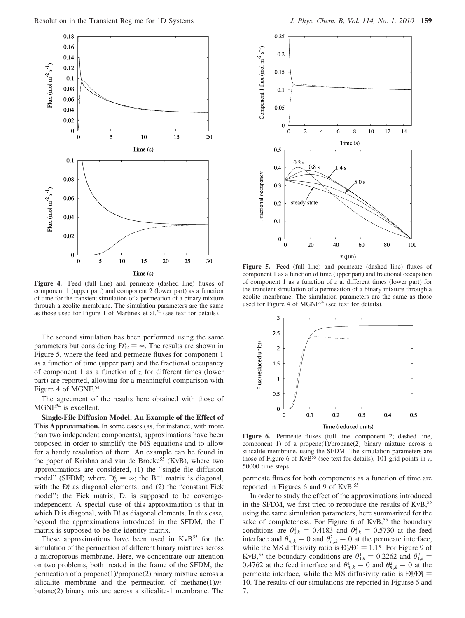

Figure 4. Feed (full line) and permeate (dashed line) fluxes of component 1 (upper part) and component 2 (lower part) as a function of time for the transient simulation of a permeation of a binary mixture through a zeolite membrane. The simulation parameters are the same as those used for Figure 1 of Martinek et al.<sup>54</sup> (see text for details).

The second simulation has been performed using the same parameters but considering  $D_{12}^s = \infty$ . The results are shown in<br>Figure 5, where the feed and permeate fluxes for component 1 Figure 5, where the feed and permeate fluxes for component 1 as a function of time (upper part) and the fractional occupancy of component 1 as a function of *z* for different times (lower part) are reported, allowing for a meaningful comparison with Figure 4 of MGNF.<sup>54</sup>

The agreement of the results here obtained with those of MGNF<sup>54</sup> is excellent.

**Single-File Diffusion Model: An Example of the Effect of This Approximation.** In some cases (as, for instance, with more than two independent components), approximations have been proposed in order to simplify the MS equations and to allow for a handy resolution of them. An example can be found in the paper of Krishna and van de Broeke<sup>55</sup> (KvB), where two approximations are considered, (1) the "single file diffusion model" (SFDM) where  $D_{ij}^s = \infty$ ; the B<sup>-1</sup> matrix is diagonal, with the  $D_s^s$  as diagonal elements: and (2) the "constant Fick with the  $D_i^s$  as diagonal elements; and  $(2)$  the "constant Fick model"; the Fick matrix, D, is supposed to be coverageindependent. A special case of this approximation is that in which D is diagonal, with  $D_i^s$  as diagonal elements. In this case, beyond the approximations introduced in the SFDM, the Γ matrix is supposed to be the identity matrix.

These approximations have been used in  $KvB<sup>55</sup>$  for the simulation of the permeation of different binary mixtures across a microporous membrane. Here, we concentrate our attention on two problems, both treated in the frame of the SFDM, the permeation of a propene(1)/propane(2) binary mixture across a silicalite membrane and the permeation of methane(1)/*n*butane(2) binary mixture across a silicalite-1 membrane. The



Figure 5. Feed (full line) and permeate (dashed line) fluxes of component 1 as a function of time (upper part) and fractional occupation of component 1 as a function of *z* at different times (lower part) for the transient simulation of a permeation of a binary mixture through a zeolite membrane. The simulation parameters are the same as those used for Figure 4 of MGNF<sup>54</sup> (see text for details).



**Figure 6.** Permeate fluxes (full line, component 2; dashed line, component 1) of a propene(1)/propane(2) binary mixture across a silicalite membrane, using the SFDM. The simulation parameters are those of Figure 6 of KvB<sup>55</sup> (see text for details), 101 grid points in  $z$ , 50000 time steps.

permeate fluxes for both components as a function of time are reported in Figures 6 and 9 of KvB.55

In order to study the effect of the approximations introduced in the SFDM, we first tried to reproduce the results of  $KvB$ ,<sup>55</sup> using the same simulation parameters, here summarized for the sake of completeness. For Figure 6 of  $KvB$ ,<sup>55</sup> the boundary conditions are  $\theta_{1,k}^1 = 0.4183$  and  $\theta_{1,k}^2 = 0.5730$  at the feed<br>interface and  $\theta_{1,k}^1 = 0$  and  $\theta_{2,k}^2 = 0$  at the permeate interface interface and  $\theta_{n,k}^1 = 0$  and  $\theta_{n,k}^2 = 0$  at the permeate interface, while the MS diffusivity ratio is  $D_2^s/D_1^s = 1.15$ . For Figure 9 of KvR <sup>55</sup> the boundary conditions are  $\theta_{11}^1 = 0.2262$  and  $\theta_{12}^2 =$ KvB,<sup>55</sup> the boundary conditions are  $\theta_{1,k}^1 = 0.2262$  and  $\theta_{1,k}^2 = 0.4762$  at the feed interface and  $\theta_{1,k}^1 = 0$  and  $\theta_{1,k}^2 = 0$  at the 0.4762 at the feed interface and  $\theta_{n_x k}^1 = 0$  and  $\theta_{n_y k}^2 = 0$  at the permeate interface while the MS diffusivity ratio is  $\theta_{n_x}^3/\theta_{n_y}^3 = 0$ permeate interface, while the MS diffusivity ratio is  $D_2^s/D_1^s$ 10. The results of our simulations are reported in Figurse 6 and 7.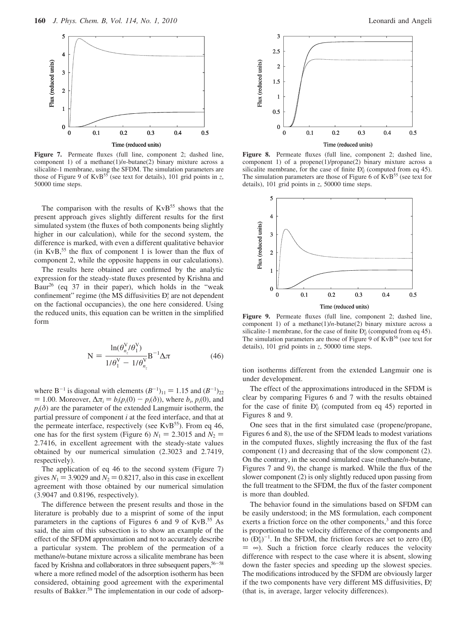

**Figure 7.** Permeate fluxes (full line, component 2; dashed line, component 1) of a methane(1)/*n*-butane(2) binary mixture across a silicalite-1 membrane, using the SFDM. The simulation parameters are those of Figure 9 of KvB<sup>55</sup> (see text for details), 101 grid points in *z*, 50000 time steps.

The comparison with the results of  $KvB<sup>55</sup>$  shows that the present approach gives slightly different results for the first simulated system (the fluxes of both components being slightly higher in our calculation), while for the second system, the difference is marked, with even a different qualitative behavior (in KvB, $55$  the flux of component 1 is lower than the flux of component 2, while the opposite happens in our calculations).

The results here obtained are confirmed by the analytic expression for the steady-state fluxes presented by Krishna and Baur26 (eq 37 in their paper), which holds in the "weak confinement" regime (the MS diffusivities  $D_i^s$  are not dependent on the factional occupancies), the one here considered. Using the reduced units, this equation can be written in the simplified form

$$
N = \frac{\ln(\theta_{n_z}^V/\theta_1^V)}{1/\theta_1^V - 1/\theta_{n_z}^V} B^{-1} \Delta \pi
$$
 (46)

where B<sup>-1</sup> is diagonal with elements  $(B^{-1})_{11} = 1.15$  and  $(B^{-1})_{22}$ <br>= 1.00 Moreover  $\Delta \pi = b(n(0) - n(\delta))$  where b. n(0) and  $= 1.00$ . Moreover, Δ $π<sub>i</sub> = b<sub>i</sub>(p<sub>i</sub>(0) − p<sub>i</sub>(δ))$ , where  $b<sub>i</sub>$ ,  $p<sub>i</sub>(0)$ , and  $p_i(\delta)$  are the parameter of the extended Langmuir isotherm, the partial pressure of component *i* at the feed interface, and that at the permeate interface, respectively (see  $KvB<sup>55</sup>$ ). From eq 46, one has for the first system (Figure 6)  $N_1 = 2.3015$  and  $N_2 =$ 2.7416, in excellent agreement with the steady-state values obtained by our numerical simulation (2.3023 and 2.7419, respectively).

The application of eq 46 to the second system (Figure 7) gives  $N_1 = 3.9029$  and  $N_2 = 0.8217$ , also in this case in excellent agreement with those obtained by our numerical simulation (3.9047 and 0.8196, respectively).

The difference between the present results and those in the literature is probably due to a misprint of some of the input parameters in the captions of Figures 6 and 9 of KvB.55 As said, the aim of this subsection is to show an example of the effect of the SFDM approximation and not to accurately describe a particular system. The problem of the permeation of a methane/*n*-butane mixture across a silicalite membrane has been faced by Krishna and collaborators in three subsequent papers,  $56-58$ where a more refined model of the adsorption isotherm has been considered, obtaining good agreement with the experimental results of Bakker.59 The implementation in our code of adsorp-



**Figure 8.** Permeate fluxes (full line, component 2; dashed line, component 1) of a propene(1)/propane(2) binary mixture across a silicalite membrane, for the case of finite  $D_{ij}^s$  (computed from eq 45). The simulation parameters are those of Figure  $6$  of KvB<sup>55</sup> (see text for details), 101 grid points in *z*, 50000 time steps.



**Figure 9.** Permeate fluxes (full line, component 2; dashed line, component 1) of a methane(1)/*n*-butane(2) binary mixture across a silicalite-1 membrane, for the case of finite  $D_{ij}^s$  (computed from eq 45). The simulation parameters are those of Figure 9 of  $KvB<sup>56</sup>$  (see text for details), 101 grid points in *z*, 50000 time steps.

tion isotherms different from the extended Langmuir one is under development.

The effect of the approximations introduced in the SFDM is clear by comparing Figures 6 and 7 with the results obtained for the case of finite  $D_{ij}^s$  (computed from eq 45) reported in Figures 8 and 9.

One sees that in the first simulated case (propene/propane, Figures 6 and 8), the use of the SFDM leads to modest variations in the computed fluxes, slightly increasing the flux of the fast component (1) and decreasing that of the slow component (2). On the contrary, in the second simulated case (methane/*n*-butane, Figures 7 and 9), the change is marked. While the flux of the slower component (2) is only slightly reduced upon passing from the full treatment to the SFDM, the flux of the faster component is more than doubled.

The behavior found in the simulations based on SFDM can be easily understood; in the MS formulation, each component exerts a friction force on the other components,<sup>3</sup> and this force is proportional to the velocity difference of the components and to  $(D_{ij}^s)^{-1}$ . In the SFDM, the friction forces are set to zero  $(D_{ij}^s)$  $= \infty$ ). Such a friction force clearly reduces the velocity difference with respect to the case where it is absent, slowing down the faster species and speeding up the slowest species. The modifications introduced by the SFDM are obviously larger if the two components have very different MS diffusivities, Ð*<sup>i</sup>* s (that is, in average, larger velocity differences).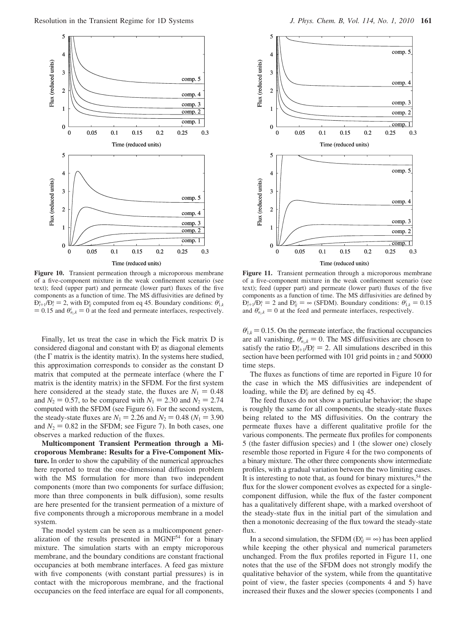

**Figure 10.** Transient permeation through a microporous membrane of a five-component mixture in the weak confinement scenario (see text); feed (upper part) and permeate (lower part) fluxes of the five components as a function of time. The MS diffusivities are defined by  $D_{i+1}^s / D_i^s = 2$ , with  $D_{ij}^s$  computed from eq 45. Boundary conditions:  $\theta_{1,k}^i = 0.15$  and  $\theta_{i,k}^i = 0$  at the feed and permeate interfaces respectively  $= 0.15$  and  $\theta_{n,k}^i = 0$  at the feed and permeate interfaces, respectively.

Finally, let us treat the case in which the Fick matrix D is considered diagonal and constant with  $D_i^s$  as diagonal elements (the  $\Gamma$  matrix is the identity matrix). In the systems here studied, this approximation corresponds to consider as the constant D matrix that computed at the permeate interface (where the Γ matrix is the identity matrix) in the SFDM. For the first system here considered at the steady state, the fluxes are  $N_1 = 0.48$ and  $N_2 = 0.57$ , to be compared with  $N_1 = 2.30$  and  $N_2 = 2.74$ computed with the SFDM (see Figure 6). For the second system, the steady-state fluxes are  $N_1 = 2.26$  and  $N_2 = 0.48$  ( $N_1 = 3.90$ ) and  $N_2 = 0.82$  in the SFDM; see Figure 7). In both cases, one observes a marked reduction of the fluxes.

**Multicomponent Transient Permeation through a Microporous Membrane: Results for a Five-Component Mixture.** In order to show the capability of the numerical approaches here reported to treat the one-dimensional diffusion problem with the MS formulation for more than two independent components (more than two components for surface diffusion; more than three components in bulk diffusion), some results are here presented for the transient permeation of a mixture of five components through a microporous membrane in a model system.

The model system can be seen as a multicomponent generalization of the results presented in MGNF<sup>54</sup> for a binary mixture. The simulation starts with an empty microporous membrane, and the boundary conditions are constant fractional occupancies at both membrane interfaces. A feed gas mixture with five components (with constant partial pressures) is in contact with the microporous membrane, and the fractional occupancies on the feed interface are equal for all components,



**Figure 11.** Transient permeation through a microporous membrane of a five-component mixture in the weak confinement scenario (see text); feed (upper part) and permeate (lower part) fluxes of the five components as a function of time. The MS diffusivities are defined by  $D_{i+1}^s / D_i^s = 2$  and  $D_{ij}^s = \infty$  (SFDM). Boundary conditions:  $\theta_{1,k}^i = 0.15$ <br>and  $\theta_{i,k}^i = 0$  at the feed and permeate interfaces respectively and  $\theta_{n,k}^i = 0$  at the feed and permeate interfaces, respectively.

 $\theta_{1,k} = 0.15$ . On the permeate interface, the fractional occupancies are all vanishing,  $\theta_{n,k}^i = 0$ . The MS diffusivities are chosen to satisfy the ratio  $D_{i+1}^{s}/D_{i}^{s} = 2$ . All simulations described in this section have been performed with 101 grid points in z and 50000 section have been performed with 101 grid points in *z* and 50000 time steps.

The fluxes as functions of time are reported in Figure 10 for the case in which the MS diffusivities are independent of loading, while the  $D_{ij}^s$  are defined by eq 45.

The feed fluxes do not show a particular behavior; the shape is roughly the same for all components, the steady-state fluxes being related to the MS diffusivities. On the contrary the permeate fluxes have a different qualitative profile for the various components. The permeate flux profiles for components 5 (the faster diffusion species) and 1 (the slower one) closely resemble those reported in Figure 4 for the two components of a binary mixture. The other three components show intermediate profiles, with a gradual variation between the two limiting cases. It is interesting to note that, as found for binary mixtures,  $54$  the flux for the slower component evolves as expected for a singlecomponent diffusion, while the flux of the faster component has a qualitatively different shape, with a marked overshoot of the steady-state flux in the initial part of the simulation and then a monotonic decreasing of the flux toward the steady-state flux.

In a second simulation, the SFDM  $(D_{ij}^s = \infty)$  has been applied<br>ide keeping the other physical and numerical parameters while keeping the other physical and numerical parameters unchanged. From the flux profiles reported in Figure 11, one notes that the use of the SFDM does not strongly modify the qualitative behavior of the system, while from the quantitative point of view, the faster species (components 4 and 5) have increased their fluxes and the slower species (components 1 and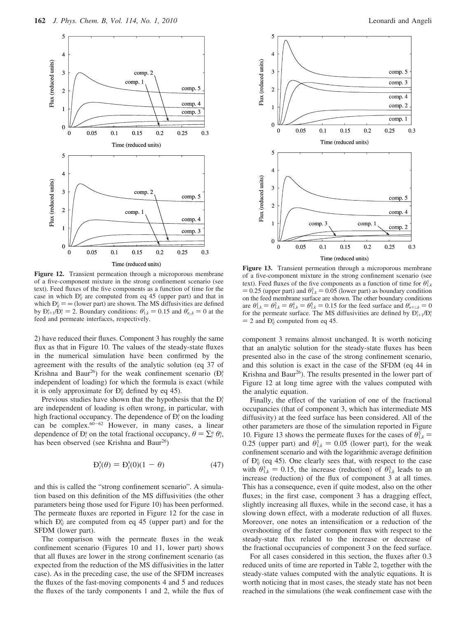

**Figure 12.** Transient permeation through a microporous membrane of a five-component mixture in the strong confinement scenario (see text). Feed fluxes of the five components as a function of time for the case in which  $D_{ij}^s$  are computed from eq 45 (upper part) and that in which  $\mathbf{D}_{ij}^s = \infty$  (lower part) are shown. The MS diffusivities are defined<br>by  $\mathbf{D}_{i,j}^s$  ( $\mathbf{D}_{i,j}^s = 2$ ) Boundary conditions:  $\theta_{i,j}^i = 0$  15 and  $\theta_{i,j}^i = 0$  at the by  $\mathbf{D}_{i+1}^s / \mathbf{D}_i^s = 2$ . Boundary conditions:  $\theta_{i,k}^i = 0.15$  and  $\theta_{i,k}^i = 0$  at the feed and permeate interfaces respectively feed and permeate interfaces, respectively.

2) have reduced their fluxes. Component 3 has roughly the same flux as that in Figure 10. The values of the steady-state fluxes in the numerical simulation have been confirmed by the agreement with the results of the analytic solution (eq 37 of Krishna and Baur<sup>26</sup>) for the weak confinement scenario  $(D_i^s)$ independent of loading) for which the formula is exact (while it is only approximate for  $D_{ij}^s$  defined by eq 45).

Previous studies have shown that the hypothesis that the  $D_i^s$ are independent of loading is often wrong, in particular, with high fractional occupancy. The dependence of  $D_i^s$  on the loading can be complex. $60-62$  However, in many cases, a linear dependence of  $D_i^s$  on the total fractional occupancy,  $\theta = \sum_i^n \theta_i^s$ , has been observed (see Krishna and Baur<sup>26</sup>) has been observed (see Krishna and Baur<sup>26</sup>)

$$
\mathbf{D}_i^{\mathsf{s}}(\theta) = \mathbf{D}_i^{\mathsf{s}}(0)(1 - \theta) \tag{47}
$$

and this is called the "strong confinement scenario". A simulation based on this definition of the MS diffusivities (the other parameters being those used for Figure 10) has been performed. The permeate fluxes are reported in Figure 12 for the case in which  $D_{ij}^s$  are computed from eq 45 (upper part) and for the SFDM (lower part).

The comparison with the permeate fluxes in the weak confinement scenario (Figures 10 and 11, lower part) shows that all fluxes are lower in the strong confinement scenario (as expected from the reduction of the MS diffusivities in the latter case). As in the preceding case, the use of the SFDM increases the fluxes of the fast-moving components 4 and 5 and reduces the fluxes of the tardy components 1 and 2, while the flux of



**Figure 13.** Transient permeation through a microporous membrane of a five-component mixture in the strong confinement scenario (see text). Feed fluxes of the five components as a function of time for  $\theta_{1,k}^3$  $= 0.25$  (upper part) and  $\theta_{1,k}^3 = 0.05$  (lower part) as boundary condition<br>on the feed membrane surface are shown. The other boundary conditions on the feed membrane surface are shown. The other boundary conditions are  $\theta_{1,k}^1 = \theta_{1,k}^2 = \theta_{1,k}^4 = \theta_{1,k}^5 = 0.15$  for the feed surface and  $\theta_{n+\zeta,k}^i = 0$ <br>for the permeate surface. The MS diffusivities are defined by  $\mathbf{D}_{2,k}^s$ . *(F)*<sup>2</sup> for the permeate surface. The MS diffusivities are defined by  $D_{i+1}^{s}/D_{i}^{s}$ <br>= 2 and  $D_{i}^{s}$  computed from so 45  $=$  2 and  $D_{ij}^s$  computed from eq 45.

component 3 remains almost unchanged. It is worth noticing that an analytic solution for the steady-state fluxes has been presented also in the case of the strong confinement scenario, and this solution is exact in the case of the SFDM (eq 44 in Krishna and Baur<sup>26</sup>). The results presented in the lower part of Figure 12 at long time agree with the values computed with the analytic equation.

Finally, the effect of the variation of one of the fractional occupancies (that of component 3, which has intermediate MS diffusivity) at the feed surface has been considered. All of the other parameters are those of the simulation reported in Figure 10. Figure 13 shows the permeate fluxes for the cases of  $\theta_{1,k}^3$ 0.25 (upper part) and  $\theta_{1,k}^3 = 0.05$  (lower part), for the weak<br>confinement scenario and with the logarithmic average definition confinement scenario and with the logarithmic average definition of  $D_{ij}^s$  (eq 45). One clearly sees that, with respect to the case with  $\theta_{1,k}^3 = 0.15$ , the increase (reduction) of  $\theta_{1,k}^3$  leads to an increase (reduction) of the flux of component 3 at all times increase (reduction) of the flux of component 3 at all times. This has a consequence, even if quite modest, also on the other fluxes; in the first case, component 3 has a dragging effect, slightly increasing all fluxes, while in the second case, it has a slowing down effect, with a moderate reduction of all fluxes. Moreover, one notes an intensification or a reduction of the overshooting of the faster component flux with respect to the steady-state flux related to the increase or decrease of the fractional occupancies of component 3 on the feed surface.

For all cases considered in this section, the fluxes after 0.3 reduced units of time are reported in Table 2, together with the steady-state values computed with the analytic equations. It is worth noticing that in most cases, the steady state has not been reached in the simulations (the weak confinement case with the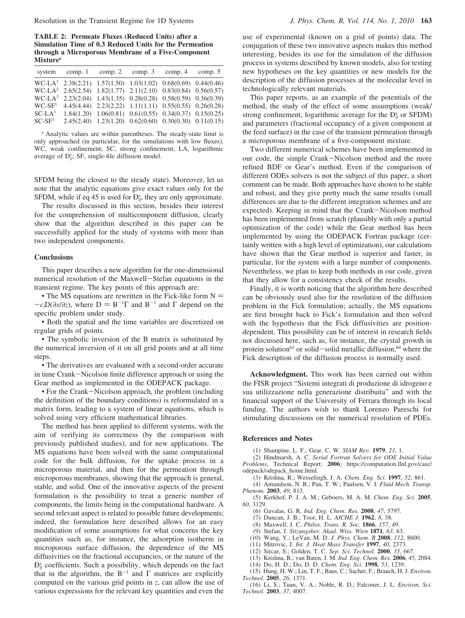**TABLE 2: Permeate Fluxes (Reduced Units) after a Simulation Time of 0.3 Reduced Units for the Permeation through a Microporous Membrane of a Five-Component Mixture***<sup>a</sup>*

|          | system comp. 1 comp. 2 comp. 3 comp. 4 comp. 5                            |  |                                                                  |  |
|----------|---------------------------------------------------------------------------|--|------------------------------------------------------------------|--|
|          | WC-LA <sup>1</sup> 2.38(2.21) 1.57(1.50) 1.03(1.02) 0.68(0.69) 0.44(0.46) |  |                                                                  |  |
|          | $WC-LA2$ 2.65(2.54) 1.82(1.77) 2.11(2.10) 0.83(0.84) 0.56(0.57)           |  |                                                                  |  |
|          | WC-LA <sup>3</sup> 2.23(2.04) 1.43(1.35) 0.28(0.28) 0.58(0.59) 0.36(0.39) |  |                                                                  |  |
| $WC-SF1$ |                                                                           |  | 4.45(4.44) 2.23(2.22) 1.11(1.11) 0.55(0.55) 0.26(0.28)           |  |
| $SC-LA1$ |                                                                           |  | $1.84(1.20)$ $1.06(0.81)$ $0.61(0.55)$ $0.34(0.37)$ $0.15(0.25)$ |  |
| $SC-SF1$ |                                                                           |  | $2.45(2.40)$ $1.23(1.20)$ $0.62(0.60)$ $0.30(0.30)$ $0.11(0.15)$ |  |

*<sup>a</sup>* Analytic values are within parentheses. The steady-state limit is only approached (in particular, for the simulations with low fluxes). WC, weak confinement; SC, strong confinement; LA, logarithmic average of  $D_{ij}^s$ ; SF, single-file diffusion model.

SFDM being the closest to the steady state). Moreover, let us note that the analytic equations give exact values only for the SFDM, while if eq 45 is used for  $D_{ij}^s$ , they are only approximate.

The results discussed in this section, besides their interest for the comprehension of multicomponent diffusion, clearly show that the algorithm described in this paper can be successfully applied for the study of systems with more than two independent components.

#### **Conclusions**

This paper describes a new algorithm for the one-dimensional numerical resolution of the Maxwell-Stefan equations in the transient regime. The key points of this approach are:

• The MS equations are rewritten in the Fick-like form  $N =$  $-c_tD(\partial x/\partial z)$ , where  $D = B^{-1}\Gamma$  and  $B^{-1}$  and  $\Gamma$  depend on the specific problem under study specific problem under study.

• Both the spatial and the time variables are discretized on regular grids of points.

• The symbolic inversion of the B matrix is substituted by the numerical inversion of it on all grid points and at all time steps.

• The derivatives are evaluated with a second-order accurate in time Crank-Nicolson finite difference approach or using the Gear method as implemented in the ODEPACK package.

• For the Crank-Nicolson approach, the problem (including the definition of the boundary conditions) is reformulated in a matrix form, leading to a system of linear equations, which is solved using very efficient mathematical libraries.

The method has been applied to different systems, with the aim of verifying its correctness (by the comparison with previously published studies), and for new applications. The MS equations have been solved with the same computational code for the bulk diffusion, for the uptake process in a microporous material, and then for the permeation through microporous membranes, showing that the approach is general, stable, and solid. One of the innovative aspects of the present formulation is the possibility to treat a generic number of components, the limits being in the computational hardware. A second relevant aspect is related to possible future developments; indeed, the formulation here described allows for an easy modification of some assumptions for what concerns the key quantities such as, for instance, the adsorption isotherm in microporous surface diffusion, the dependence of the MS diffusivities on the fractional occupancies, or the nature of the  $D_{ij}^s$  coefficients. Such a possibility, which depends on the fact that in the algorithm, the  $B^{-1}$  and  $\Gamma$  matrices are explicitly computed on the various grid points in *z*, can allow the use of various expressions for the relevant key quantities and even the

use of experimental (known on a grid of points) data. The conjugation of these two innovative aspects makes this method interesting, besides its use for the simulation of the diffusion process in systems described by known models, also for testing new hypotheses on the key quantities or new models for the description of the diffusion processes at the molecular level in technologically relevant materials.

This paper reports, as an example of the potentials of the method, the study of the effect of some assumptions (weak/ strong confinement, logarithmic average for the  $D_{ij}^s$  or SFDM) and parameters (fractional occupancy of a given component at the feed surface) in the case of the transient permeation through a microporous membrane of a five-component mixture.

Two different numerical schemes have been implemented in our code, the simple Crank-Nicolson method and the more refined BDF or Gear's method. Even if the comparison of different ODEs solvers is not the subject of this paper, a short comment can be made. Both approaches have shown to be stable and robust, and they give pretty much the same results (small differences are due to the different integration schemes and are expected). Keeping in mind that the Crank-Nicolson method has been implemented from scratch (plausibly with only a partial optimization of the code) while the Gear method has been implemented by using the ODEPACK Fortran package (certainly written with a high level of optimization), our calculations have shown that the Gear method is superior and faster, in particular, for the system with a large number of components. Nevertheless, we plan to keep both methods in our code, given that they allow for a consistency check of the results.

Finally, it is worth noticing that the algorithm here described can be obviously used also for the resolution of the diffusion problem in the Fick formulation; actually, the MS equations are first brought back to Fick's formulation and then solved with the hypothesis that the Fick diffusivities are positiondependent. This possibility can be of interest in research fields not discussed here, such as, for instance, the crystal growth in protein solution<sup>63</sup> or solid-solid metallic diffusion,<sup>64</sup> where the Fick description of the diffusion process is normally used.

**Acknowledgment.** This work has been carried out within the FISR project "Sistemi integrati di produzione di idrogeno e sua utilizzazione nella generazione distribuita" and with the financial support of the University of Ferrara through its local funding. The authors wish to thank Lorenzo Pareschi for stimulating discussions on the numerical resolution of PDEs.

#### **References and Notes**

(1) Shampine, L. F.; Gear, C. W. *SIAM Re*V*.* **<sup>1979</sup>**, *<sup>21</sup>*, 1.

(2) Hindmarsh, A. C. *Serial Fortran Solvers for ODE Initial Value*<br>*Problems*, Technical Report; **2006**; https://computation.llnl.gov/casc/ odepack/odepack\_home.html.

(3) Krishna, R.; Wesselingh, J. A. *Chem. Eng. Sci.* **1997**, *52*, 861.

(4) Amundson, N. R.; Pan, T. W.; Paulsen, V. I. *Fluid Mech. Transp. Phenom.* **2003**, *49*, 813.

(5) Kerkhof, P. J. A. M.; Geboers, M. A. M. *Chem. Eng. Sci.* **2005**, *60*, 3129.

(6) Gavalas, G. R. *Ind. Eng. Chem. Res.* **2008**, *47*, 5797.

(7) Duncan, J. B.; Toor, H. L. *AICHE J.* **1962**, *8*, 38.

- (8) Maxwell, J. C. *Philos. Trans. R. Soc.* **1866**, *157*, 49.
- (9) Stefan, J. *Sitzungsber. Akad. Wiss. Wien* **1871**, *63*, 63.
- (10) Wang, Y.; LeVan, M. D. *J. Phys. Chem. B* **2008**, *112*, 8600.
- (11) Mitrovic, J. *Int. J. Heat Mass Transfer* **1997**, *40*, 2373.
- (12) Sircar, S.; Golden, T. C. *Sep. Sci. Technol.* **2000**, *35*, 667. (13) Krishna, R.; van Baten, J. M. *Ind. Eng. Chem. Res.* **2006**, *45*, 2084.
- (14) Do, H. D.; Do, D. D. *Chem. Eng. Sci.* **1998**, *53*, 1239.

(15) Hung, H. W.; Lin, T. F.; Baus, C.; Sacher, F.; Brauch, H. J. *Environ*. *Technol.* **2005**, *26*, 1371.

(16) Li, S.; Tuan, V. A.; Noble, R. D.; Falconer, J. L. *Environ. Sci. Technol.* **2003**, *37*, 4007.